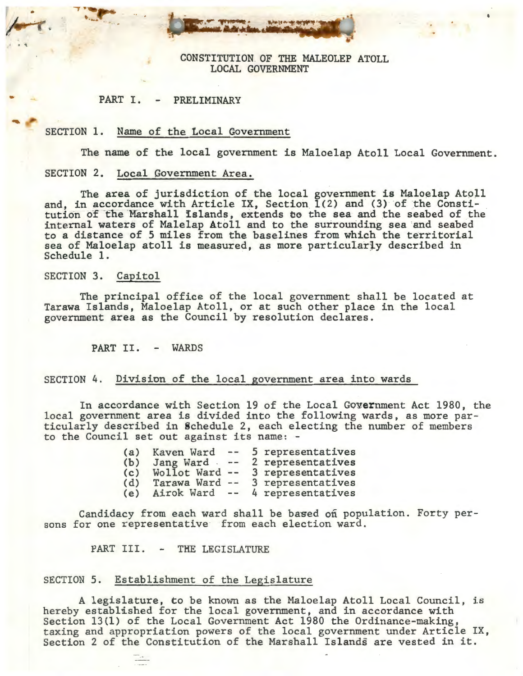CONSTITUTION OF THE MALEOLEP ATOLL LOCAL GOVERNMENT

•

#### PART I. PRELIMINARY

#### SECTION 1. Name of the Local Covernment

The name of the local government is Maloelap Atoll Local Government.

## SECTION 2. Local Government Area.

The area of jurisdiction of the local government is Maloelap Atoll and, in accordance with Article IX, Section. 1(2) and (3) of the Constitution of the Marshall Islands, extends to the sea and the seabed of the internal waters of Malelap Atoll and to the surrounding sea and seabed to a distance of 5 miles from the baselines from which the territorial sea of Maloelap atoll is measured, as more particularly described in Schedule 1.

#### SECTION 3. Capitol

 $\mathcal{C}$  to the  $\mathcal{C}$ 

The principal office of the local government shall be located at Tarawa Islands, Maloelap Atoll, or at such other place in the local government area as the Council by resolution declares.

PART II. - WARDS

#### SECTION 4. Division of the local government area into wards

In accordance with Section 19 of the Local Government Act 1980, the local government area is divided into the following wards, as more particularly described in Schedule 2, each electing the number of members to the Council set out against its name: -

| (a) | Kaven Ward     | $\qquad \qquad -$ | 5 representatives |
|-----|----------------|-------------------|-------------------|
| (b) | Jang Ward      | $\cdots$          | 2 representatives |
| (c) | Wollot Ward -- |                   | 3 representatives |
| (d) | Tarawa Ward -- |                   | 3 representatives |
| (e) | Airok Ward --  |                   | 4 representatives |

Candidacy from each ward shall be based on population. Forty persons for one representative from each election ward.

PART III. - THE LEGISLATURE

#### SECTION 5. Establishment of the Legislature

A legislature, to be known as the Maloelap Atoll Local Council, is hereby established for the local government, and in accordance with Section 13(1) of the Local Government Act 1980 the Ordinance-making, taxing and appropriation powers of the local government under Article IX, Section 2 of the Constitution of the Marshall Islands are vested in it.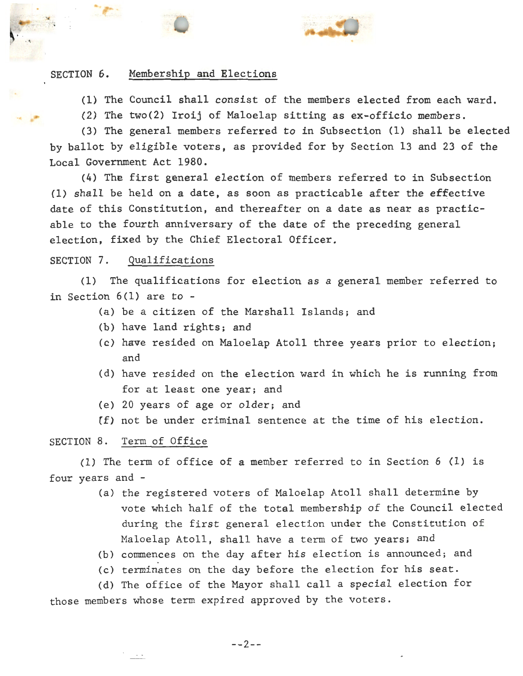

~

(1} The Council shall consist of the members elected from each ward.

(2) The two(2) Iroij of Maloelap sitting as ex-officio members.

(3) The general members referred to in Subsection (1) shall be elected by ballot by eligible voters, as provided for by Section 13 and 23 of the Local Government Act 1980.

 $(4)$  The first general election of members referred to in Subsection (1) shall be held on a date, as soon as practicable after the effective date of this Constitution, and thereafter on a date as near as practicable to the fourth anniversary of the date of the preceding general election, fixed by the Chief Electoral Officer.

# SECTION 7. Qualifications

(1) The qualifications for election as a general member referred to in Section 6(1) are to -

- (a) be a citizen of the Marshall Islands; and
- (b) have land rights; and
- (c) have resided on Maloelap Atoll three years prior to election; and
- (d) have resided on the election ward in which he is running from for at least one year; and
- (e) 20 years of age or older; and
- (f) not be under criminal sentence at the time of his election.

# SECTION 8. Term of Office

(1) The term of office of a member referred to in Section 6 (1) is four years and -

- (a) the registered voters of Maloelap Atoll shall determine by vote which half of the total membership of the Council elected during the first general election under the Constitution of Maloelap Atoll, shall have a term of two yearsi and
- (b) commences on the day after his election is announced; and
- (c) terminates on the day before the election for his seat.

(d) The office of the Mayor shall call a special election for those members whose term expired approved by the voters.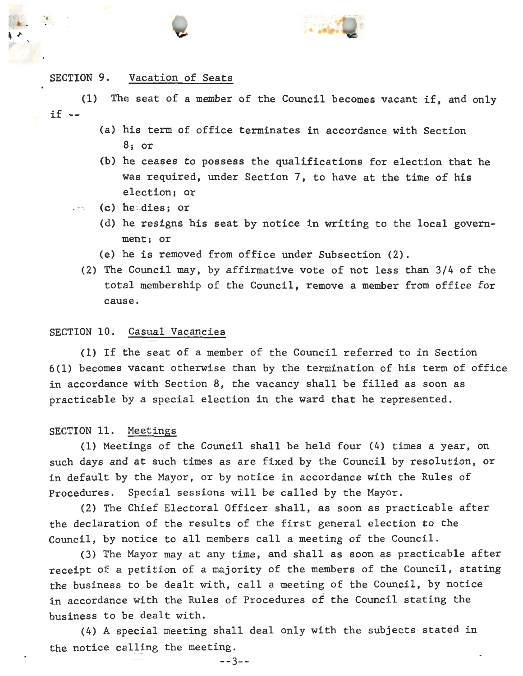

#### SECTION 9. Vacation of Seats

 $\bullet$  .

 $if --$ (1) The seat of a member of the Council becomes vacant if, and only

- (a) his term of office terminates in accordance with Section 8; or
- (b) he ceases to possess the qualifications for election that he was required, under Section 7, to have at the time of his election; or
- $=$   $(c)$  heidies; or
	- (d) he resigns his seat by notice in writing to the local government; or
	- (e) he is removed from office under Subsection (2).
	- (2) The Council may, by affirmative. vote of not less than 3/4 of the total membership of the Council, remove a member from office for cause.

#### SECTION 10. Casual Vacancies

(1) If the seat of a member of the Council referred to in Section 6(1) becomes vacant otherwise than by the termination of his term of office in accordance with Section 8, the vacancy shall be filled as soon as practicable by a special election in the ward that he represented.

#### SECTION 11. Meetings

(1) Meetings of the Council shall be held four (4) times a year, on such days and at such times as are fixed by the Council by resolution, or in default by the Mayor, or by notice in accordance with the Rules of Procedures. Special sessions will be called by the Mayor.

(2) The Chief Electoral Officer shall, as soon as practicable after the declaration of the results of the first general election to the Council, by notice to all members call a meeting of the Council.

(3) The Mayor may at any time, and shall as soon as practicable after receipt of a petition of a majority of the members of the Council, stating the business to be dealt with, call a meeting of the Council, by notice in accordance with the Rules of Procedures of the Council stating the business to be dealt with.

(4) A special meeting shall deal only with the subjects· stated in the notice calling the meeting.

--3--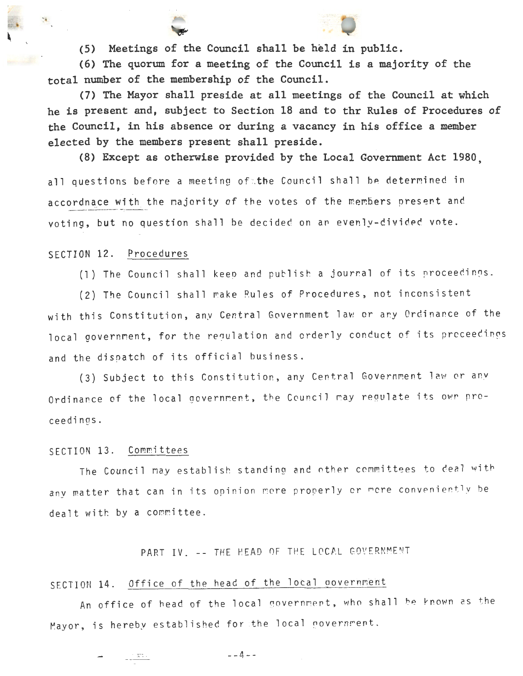**(5) Meetings of the Council shall be held in public.** 

**(6) The quorum for a meeting of the Council is a majority of the**  total number of the membership of the Council.

**(7) The Mayor shall preside at all meetings of the Council at which he is present and, subject to Section 18 and to thr Rules of Procedures of the Council, in his absence or during a vacancy in his office a member elected by the members present shall preside.** 

**(8) Except as otherwise provided by the Local Government Act 1980,** 

all questions before a meeting of the Council shall be determined in accordnace with the majority of the votes of the members present and voting, but no question shall be decided on ar evenly-dividec vote.

#### SECTION 12. Procedures

 $\mathbf{X}$ 

(1) The Council shall keep and publish a journal of its proceedings.

(2) The Council shall make Rules of Procedures, not inconsistent with this Constitution, any Central Government law or any Ordinance of the local government, for the requlation and orderly conduct of its proceedings and the dispatch of its official business.

(3) Subject to this Constitution, any Central Government law or any Ordinance of the local government, the Council may regulate its own proceedings.

#### SECTION 13. Committees

 $\frac{1}{2} \frac{1}{2} \frac{1}{2} \frac{1}{2} \frac{1}{2} \frac{1}{2} \frac{1}{2} \frac{1}{2} \frac{1}{2} \frac{1}{2} \frac{1}{2} \frac{1}{2} \frac{1}{2} \frac{1}{2} \frac{1}{2} \frac{1}{2} \frac{1}{2} \frac{1}{2} \frac{1}{2} \frac{1}{2} \frac{1}{2} \frac{1}{2} \frac{1}{2} \frac{1}{2} \frac{1}{2} \frac{1}{2} \frac{1}{2} \frac{1}{2} \frac{1}{2} \frac{1}{2} \frac{1}{2} \frac{$ 

The Council may establish standing and other committees to deal with any matter that can in its opinion more properly or more conveniently be dealt with by a committee.

# PART IV. -- THE HEAD OF THE LOCAL GOVERNMENT

# SECTION 14. Office of the head of the local government

An office of head of the local government, who shall be known as the Mayor, is hereby established for the local government.

--4--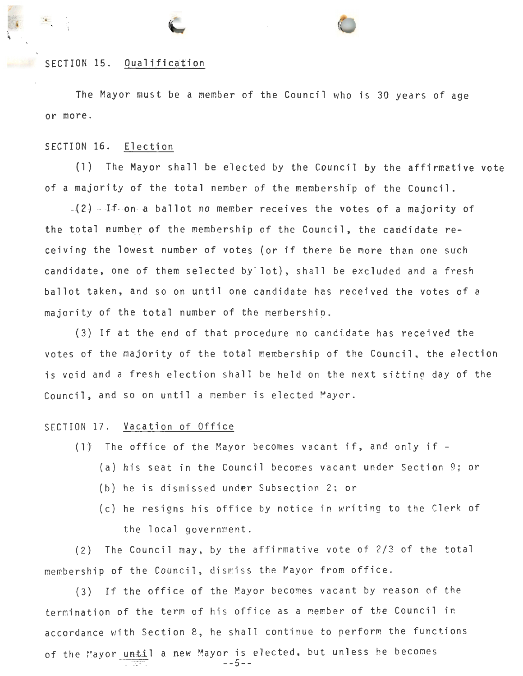#### SECTION 15. Qualification

The Mayor must be a member of the Council who is 30 years of age or more.

#### SECTION 16. Election

(1) The Mayor shall be elected by the Council by the affirmative vote of a majority of the total nember of the membership of the Council.

 $-(2)$  - If on a ballot no member receives the votes of a majority of the total number of the membership of the Council, the candidate receiving the lowest number of votes (or if there be more than one such candidate, one of them selected by lot), shall be excluded and a fresh ballot taken, and so on until one candidate has received the votes of a majority of the total number of the membershio.

(3) If at the end of that procedure no candidate has received the votes of the majority of the total membership of the Council, the election is void and a fresh election shall be held on the next sitting day of the Council, and so on until a member is elected Mayer.

#### SECTION 17. Vacation of Office

- (1} The office of the Mayor becomes vacant if, and only if
	- (a) his seat in the Council becomes vacant under Section 9; or
	- (b) he is dismissed under Subsection 2; or
	- (c) he resigns his office by notice in writing to the Clerk of the local government.

(2) The Council may, by the affirmative vote of 2/3 of the total membership of the Council, dismiss the Mayor from office.

(3) If the office of the Mayor becomes vacant by reason of the termination of the term of his office as a member of the Council in accordance with Section 8, he shall continue to perform the functions of the Mayor until a new Mayor is elected, but unless he becomes --5--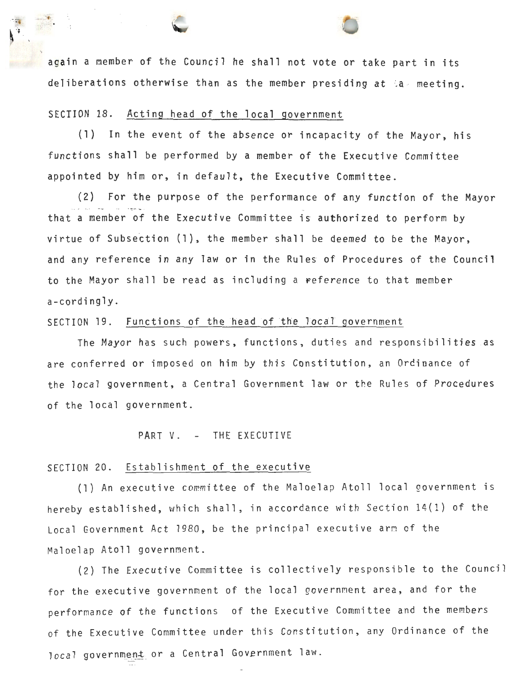again a member of the Council he shall not vote or take part in its deliberations otherwise than as the member presiding at  $a$  meeting.

# SECTION 18. Acting head of the local government

(1) In the event of the absence or incapacity of the Mayor, his functions shall be performed by a member of the Executive Committee appointed by him or, in default, the Executive Committee.

(2) For the purpose of the performance of any function of the Mayor - that a member *of* the Executive Committee is authorized to perform by virtue of Subsection (1), the member shall be deemed to be the Mayor, and any reference in any law or in the Rules of Procedures of the Council to the Mayor shall be read as including a reference to that member a-cordingly.

#### SECTION 19. Functions of the head of the local government

The Mayor has such powers, functions, duties and responsibilities .as are conferred or imposed on him by this Constitution, an Orcinance of the local government, a Central Government law or the Rules of Procedures of the local government.

#### PART V. - THE EXECUTIVE

#### SECTION 20. Establishment of the executive

(1) An executive committee of the Maloelap Atoll local government is hereby established, which shall, in accordance with Section 14(1) of the Local Government Act 1980, be the principal executive arm of the Maloelap Atoll government.

(2) The Executive Committee is collectively responsible to the Council for the executive government of the local government area, and for the performance of the functions of the Executive Committee and the members of the Executive Committee under this Constitution, any Ordinance of the local government or a Central Government law.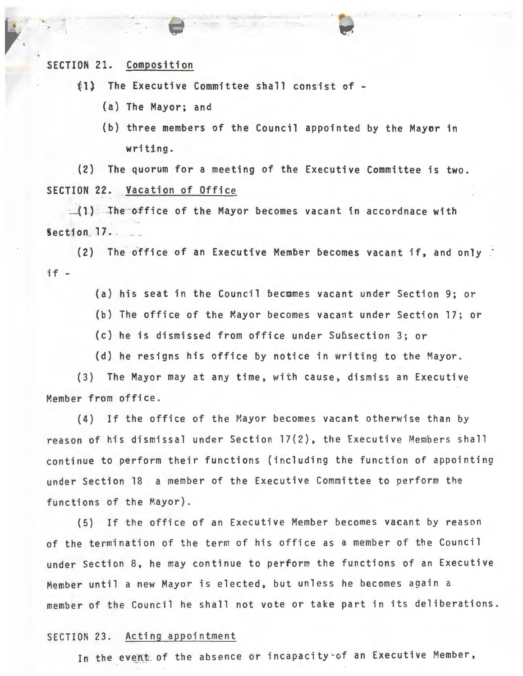SECTION 21. Composition

(1) The Executive Committee shall consist of-

- (a) The Mayor; and
- (b) three members of the Council appointed by the Mayor in writing.

(2) The quorum for a meeting of the Executive Committee is two. SECTION 22. Vacation of Office

 $\Box(1)$  -The office of the Mayor becomes vacant in accordnace with  $Section 17.$ .

(2) The office of an Executive Member becomes vacant if, and only if -

(a) his seat in the Council becmmes vacant under Section 9; or

- (b) The office of the Mayor becomes vacant under Section 17; or
- (c) he is dismissed from office under Subsection 3; or
- (d) he resigns his office by notice in writing to the Mayor.

(3) The Mayor may at any time, with cause, dismiss an Executive Member from office.

(4) If the office of the Mayor becomes vacant otherwise than by reason of his dismissal under Section 17(2), the Executive Members shall continue to perform their functions (including the function of appointing under Section 18 a member of the Executive Committee to perform the functions of the Mayor) .

(5) If the office of an Executive Member becomes vacant by reason of the termination of the term of his office as a member of the Council under Section 8, he may continue to perform the functions of an Executive Member until a new Mayor is elected, but unless he becomes again a member of the Council he shall not vote or take part in its deliberations.

#### SECTION 23. Acting appointment

In the event of the absence or incapacity of an Executive Member,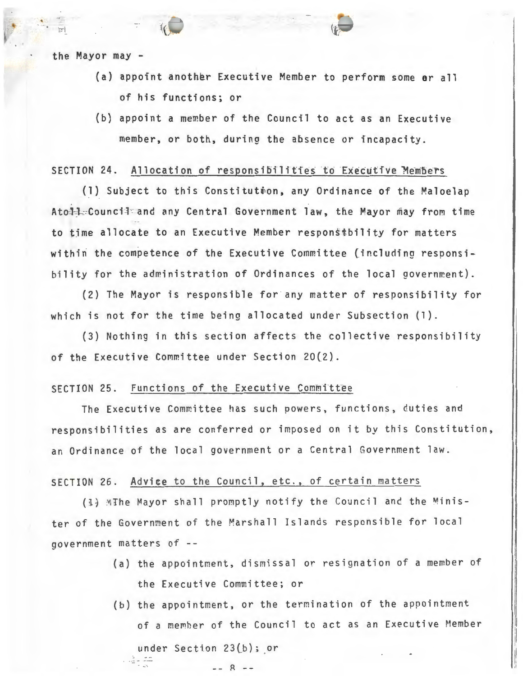the Mayor may -

 $\blacksquare$ ...

- (a) appoint another Executive Member to perform some ar all of his functions; or
- (b) appoint a member of the Council to act as an Executive member, or both, during the absence or incapacity.

#### SECTION 24. Allocation of responsibilities to Executive Members

(1) Subject to this Constitution, any Ordinance of the Maloelap Ato-1: Council and any Central Government law, the Mayor may from time to time allocate to an Executive Member responstbility for matters within the competence of the Executive Committee (including responsibility for the administration of Ordinances of the local government).

(2) The Mayor is responsible for any matter of responsibility for which is not for the time being allocated under Subsection (1).

(3) Nothing in this section affects the collective responsibility of the Executive Committee under Section 20(2}.

### SECTION 25. Functions of the Executive Committee

The Executive Committee has such powers, functions, duties and responsibilities as are conferred or imposed on it by this Constitution, an Ordinance of the local government or a Central Government law.

#### SECTION 26. Advice to the Council, etc., of certain matters

 $- - 8 - -$ 

(1) MThe Mayor shall promptly notify the Council and the Minister of the Government of the Marshall Islands responsible for local government matters of

- (a) the appointment, dismissal or resignation of a member of the Executive Committee; or
- (b) the appointment, or the termination of the appointment of a member of the Council to act as an Executive Member under Section  $23(b)$ ; or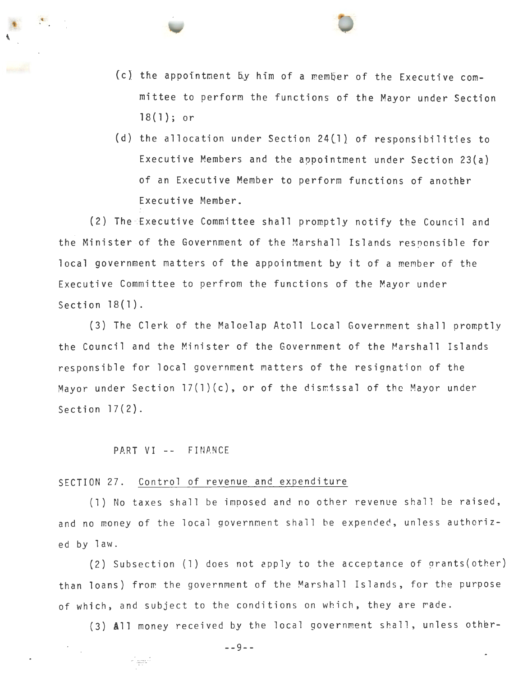

(d) the allocation under Section 24(1} of responsibilities to Executive Members and the appointment under Section 23(a) of an Executive Member to perform functions of another Executive Member.

(2) The Executive Committee shall promptly notify the Council and the Minister of the Government of the Marshall Islands responsible for local government matters of the appointment by it of a member of the Executive Committee to perfrom the functions of the Mayor under Section 18(1).

(3) The Clerk of the Maloelap Atoll Local Government shall promptly the Council and the Minister of the Government of the Marshall Islands responsible for local government matters of the resignation of the Mayor under Section 17(l)(c), or of the dismtssal of the Mayor under Section 17(2).

#### PART VI -- FINANCE

riaaf

#### SECTION 27. Control of revenue and expenditure

(1) No taxes shall be imposed and no other revenue shall be raised, and no money of the local governnent shall be expended, unless authorized by law.

(2) Subsection (l) does not cpply to the acceptance of grants(other) than loans) from the government of the Marshall Islands, for the purpose of which, and subject to the conditions on which, they are rade.

 $(3)$  All money received by the local government shall, unless other-

--9--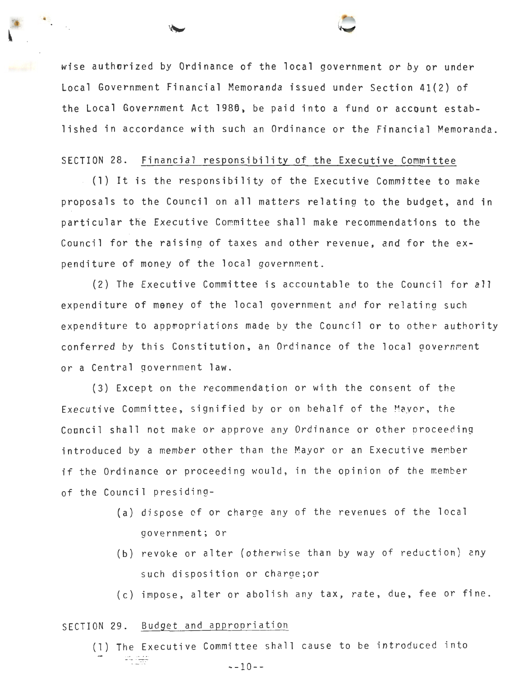wise authorized by Ordinance of the local government or by or under Local Government Financial Memoranda issued under Section 41(2) of the Local Government Act 1980, be paid into a fund or account established in accordance with such an Ordinance or the Financial Memoranda.

#### SECTION 28. Financial responsibility of the Executive Committee

(1) It is the responsibility of the Executive Committee to make proposals to the Council on all matters relating to the budget, and in particular the Executive Committee shall make recommendations to the Council for the raising of taxes and other revenue, and for the expenditure of money of the local government.

(2) The Executive Committee is accountable to the Council for all expenditure of meney of the local government and for relating such expenditure to appropriations made by the Council or to other authority conferred by this Constitution, an Ordinance of the local government or a Central government law.

(3) Except on the recommendation or with the consent of the Executive Committee, signified by or on behalf of the Mayor, the Coancil shall not make or approve any Ordinance or other oroceeding introduced by a member other than the Mayor or an Executive member if the Ordinance or proceeding would, in the opinion of the member of the Council presiding-

- (a) dispose of or charge any of the revenues of the local government; or
- (b) revoke or alter (otherwise than by way of reduction) any such disposition or charge;or
- (c) impose, alter or abolish any tax, rate, due, fee or fine.

#### SECTION 29. Budget and approoriation

(1) The Executive Committee shall cause to be introduced into 中華 --10--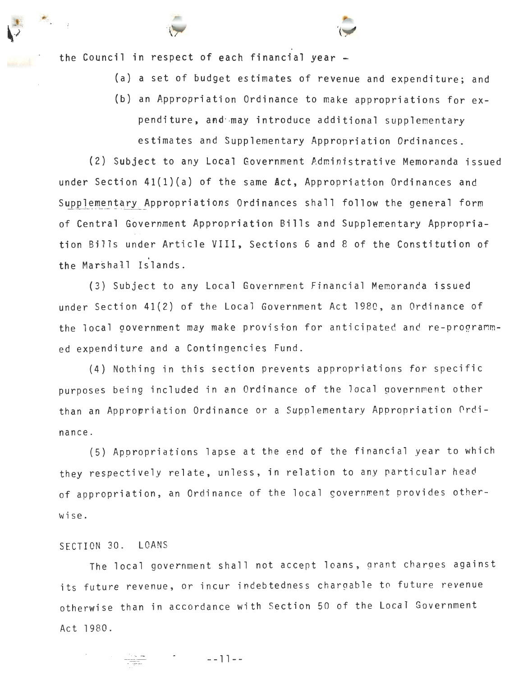the Council in respect of each financial year -

..

- (a) a set of budget estimates of revenue and expenditure; and
- (b) an Appropriation Ordinance to make appropriations for expenditure, and may introduce additional supplementary estimates and Supplementary Appropriation Ordinances.

(2) Subject to any Local Government Administrative Memoranda issued under Section  $41(1)(a)$  of the same  $Act$ , Appropriation Ordinances and Supplementary Appropriations Ordinances shall follow the general form of Central Government Appropriation Bills and Supplementary Appropriation Bills under Article VIII, Sections 6 and 8 of the Constitution of the Marshall Islands.

(3) Subject to any Local Government Financial Memoranda issued under Section 41(2) of the Local Government Act 1980, an Ordinance of the local government may make provision for anticipated and re-programmed expenditure and a Contingencies Fund.

(4) Nothing in this section prevents appropriations for specific purposes being included in an Ordinance of the local government other than an Appropriation Ordinance or a Supplementary Appropriation 0rdinance.

(5) Appropriations lapse at the end of the financial year to which they respectively relate, unless, in relation to any particular head of appropriation, an Ordinance of the local government provides otherwise.

#### SECTION 30. LOANS

The local government shall not accept loans, grant charges against its future revenue, or incur indebtedness chargable to future revenue otherwise than in accordance with Section 50 of the Local Government Act 1980.

--11--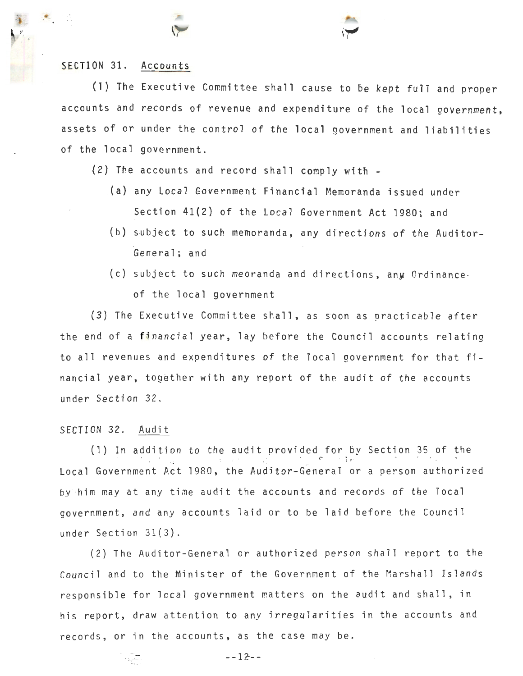### SECTION 31. Accounts

 $\cdot$ 

(1) The Executive Committee shall cause to be kept full and proper accounts and records of revenue and expenditure of the local government, assets of or under the control of the local government and liabilities of the local government.

- (2) The accounts and record shall comply with
	- {a) any Local Government Financial Memoranda issued under Section 41(2) of the Local Government Act 1980; and
	- (b) subject to such memoranda, any directions of the Auditor-General; and
	- (c) subject to such meoranda and directions, any Ordinance of the local government

(3) The Executive Committee shall, as *soon* as practicable after the end of a financial year, lay before the Council accounts relating to all revenues and expenditures of the local government for that financial year, together with any report of the audit of the accounts under Section 32 .

## SECTION 32. Audit

(1) In addition to the audit provided for 5y Section 35 of the - The state provided for by become be on Local Government Act 1980, the Auditor-General or a person authorized by him may at any time audit the accounts and records of the local government, and any accounts laid or to be laid before the Council under Section 31( 3).

(2) The Auditor-General or authorized person shall report to the Council and to the Minister of the Government of the Marshall Islands responsible for local government matters on the audit and shall, in his report, draw attention to any irregularities in the accounts and records, or in the accounts, as the case may be.

 $-- 12--$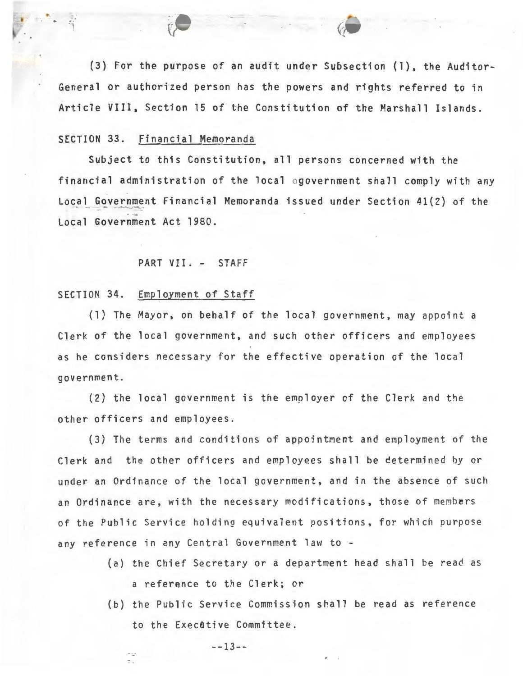(3) For the purpose of an audit under Subsection (1), the Auditor-General or authorized person has the powers and rights referred to in Article VIII, Section 15 of the Constitution of the Marshall Islands.

#### SECTION 33. Financial Memoranda

-..

Subject to this Constitution, all persons concerned with the financial administration of the local ogovernment shall comply with any Local Government Financial Memoranda issued under Section 41(2) of the Local Government Act 1980.

#### PART VII. - STAFF

#### SECTION 34. Employment of Staff

(1) The Mayor, on behalf of the local government, may appoint a Clerk of the local government, and such other officers and employees as he considers necessary for the effective operation of the local government.

 $(2)$  the local government is the employer of the Clerk and the other officers and employees.

(3) The terms and conditions of appointment and employment of the Clerk and the other officers and employees shall be cetermined by or under an Ordinance of the local government, and in the absence of such an Ordinance are, with the necessary modifications, those of members of the Public Service holding equivalent positions, for which purpose any reference in any Central Government law to -

- (a) the Chief Secretary or a department head shall be read as a reference to the Clerk; or
- (b) the Public Service Commission shall be read as reference to the Executive Committee.

 $--13--$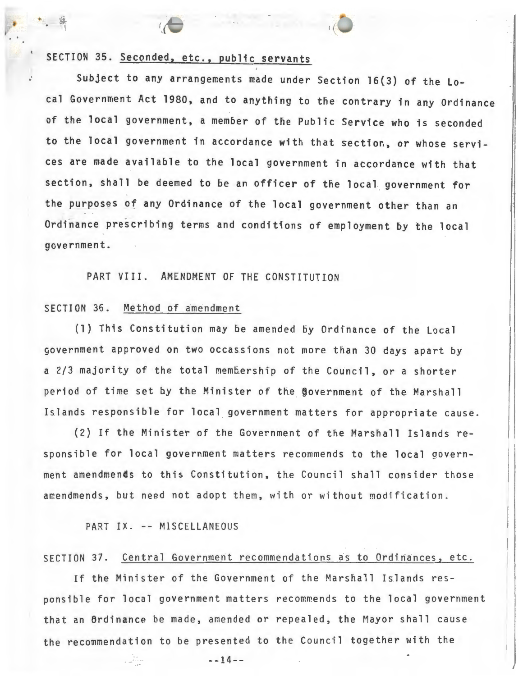# SECTION 35. Seconded, etc., public servants

-·· - ' (

Subject to any arrangements made under Section 16(3) of the Local Government Act 1980, and to anything to the contrary in any Ordinance of the local government, a member of the Public Service who is seconded to the local government in accordance with that section, or whose services are made available to the local government in accordance with that section, shall be deemed to be an officer of the local government for the purposes of any Ordinance of the local government other than an Ordinance prescribing terms and conditions of employment by the local government.

PART VIII. AMENDMENT OF THE CONSTITUTION

#### SECTION 36. Method of amendment

(1) This Constitution may be amended 5y Ordinance of the Local government approved on two occassions not more than 30 days apart by a 2/3 majority of the total membership of the Council, or a shorter period of time set by the Minister of the government of the Marshall Islands responsible for local government matters for appropriate cause.

(2) If the Minister of the Government of the Marshall Islands responsible for local government matters recommends to the local government amendmends to this Constitution, the Council shall consider those amendmends, but need not adopt them, with or without modification .

PART IX. -- MISCELLANEOUS

#### SECTION 37. Central Government recommendations as to Ordinances, etc.

If the Minister of the Government of the Marshall Islands responsible for local government matters recommends to the local government that an Ordinance be made, amended or repealed, the Mayor shall cause the recommendation to be presented to the Council together with the

 $\overline{\phantom{a}}$ 

I  $\overline{ }$ 

J

 $--14--$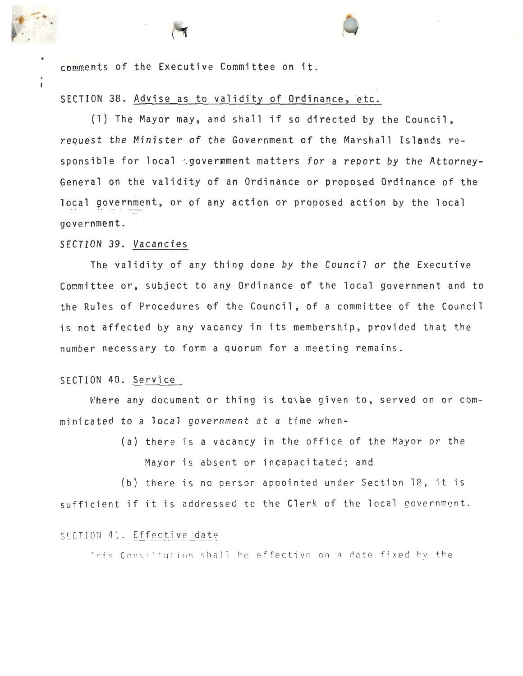comments of the Executive Committee on it.

SECTION 38. Advise as to validity of Ordinance, etc.

(1) The Mayor may, and shall if so directed by the Council, request the Minister of the Government of the Marshall Islands responsible for local govermment matters for a report by the Attorney-General on the validity of an Ordinance or proposed Ordinance of the local government, or of any action or proposed action by the local government. -

#### SECTION. 39. Vacancies

The validity of any thing done by the Council or the Executive Committee or, subject to any Ordinance of the local government and to the Rules of Procedures of the Council, of a committee of the Council is not affected by any vacancy in its membership, provided that the number necessary to form a quorum for a meeting remains.

#### SECTION 40. Service

Where any document or thing is to be given to, served on or comminicated to a local government at a time when-

> (a) there is a vacancy in the office of the Mayor or the Mayor is absent or incapacitated; and

(b) there is no person appointed under Section 18, it is sufficient if it is addressed to the Clerk of the local government.

#### SECTION 41. Effective date

This Constitution shall be effective on a date fixed by the